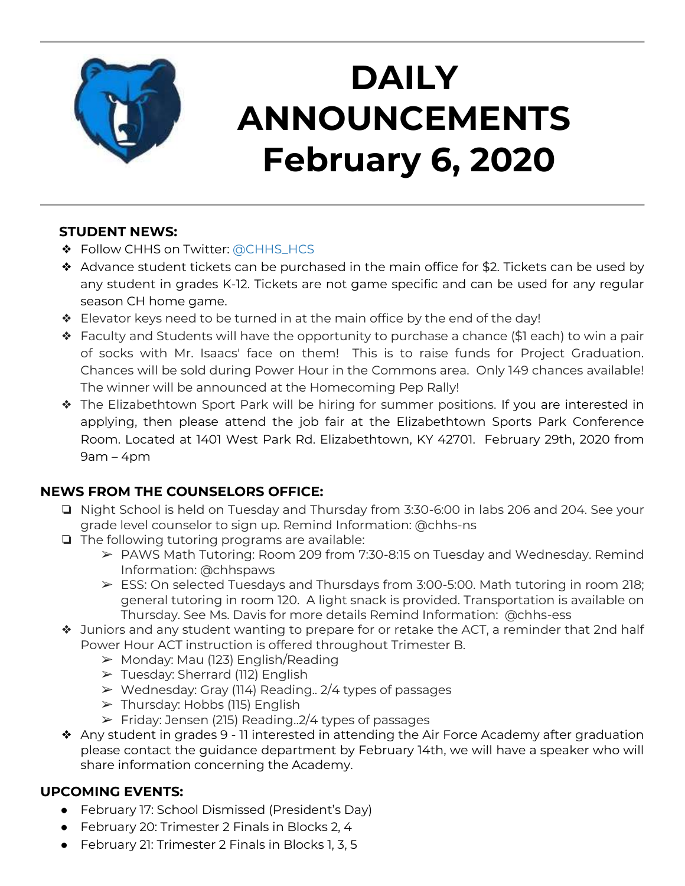

# **DAILY ANNOUNCEMENTS February 6, 2020**

#### **STUDENT NEWS:**

- ❖ Follow CHHS on Twitter: [@CHHS\\_HCS](https://twitter.com/CHHS_HCS)
- ❖ Advance student tickets can be purchased in the main office for \$2. Tickets can be used by any student in grades K-12. Tickets are not game specific and can be used for any regular season CH home game.
- ❖ Elevator keys need to be turned in at the main office by the end of the day!
- ❖ Faculty and Students will have the opportunity to purchase a chance (\$1 each) to win a pair of socks with Mr. Isaacs' face on them! This is to raise funds for Project Graduation. Chances will be sold during Power Hour in the Commons area. Only 149 chances available! The winner will be announced at the Homecoming Pep Rally!
- ❖ The Elizabethtown Sport Park will be hiring for summer positions. If you are interested in applying, then please attend the job fair at the Elizabethtown Sports Park Conference Room. Located at 1401 West Park Rd. Elizabethtown, KY 42701. February 29th, 2020 from 9am – 4pm

## **NEWS FROM THE COUNSELORS OFFICE:**

- ❏ Night School is held on Tuesday and Thursday from 3:30-6:00 in labs 206 and 204. See your grade level counselor to sign up. Remind Information: @chhs-ns
- ❏ The following tutoring programs are available:
	- ➢ PAWS Math Tutoring: Room 209 from 7:30-8:15 on Tuesday and Wednesday. Remind Information: @chhspaws
	- ➢ ESS: On selected Tuesdays and Thursdays from 3:00-5:00. Math tutoring in room 218; general tutoring in room 120. A light snack is provided. Transportation is available on Thursday. See Ms. Davis for more details Remind Information: @chhs-ess
- ❖ Juniors and any student wanting to prepare for or retake the ACT, a reminder that 2nd half Power Hour ACT instruction is offered throughout Trimester B.
	- $\triangleright$  Monday: Mau (123) English/Reading
	- ➢ Tuesday: Sherrard (112) English
	- $\triangleright$  Wednesday: Gray (114) Reading.. 2/4 types of passages
	- $\triangleright$  Thursday: Hobbs (115) English
	- ➢ Friday: Jensen (215) Reading..2/4 types of passages
- ❖ Any student in grades 9 11 interested in attending the Air Force Academy after graduation please contact the guidance department by February 14th, we will have a speaker who will share information concerning the Academy.

#### **UPCOMING EVENTS:**

- February 17: School Dismissed (President's Day)
- February 20: Trimester 2 Finals in Blocks 2, 4
- February 21: Trimester 2 Finals in Blocks 1, 3, 5